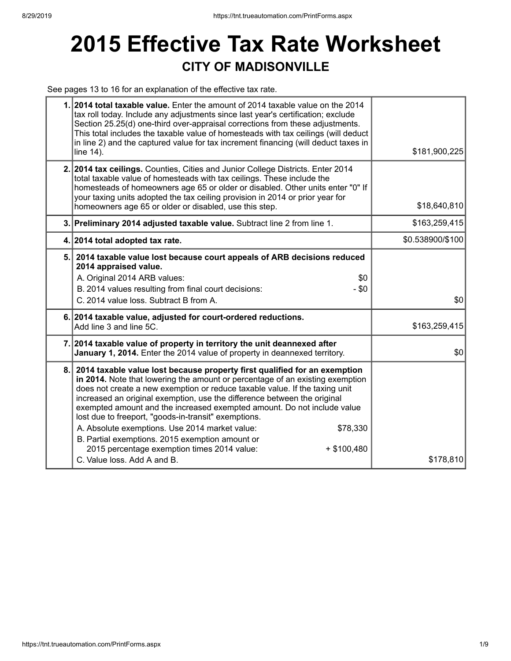## **2015 Effective Tax Rate Worksheet CITY OF MADISONVILLE**

See pages 13 to 16 for an explanation of the effective tax rate.

|     | 1. 2014 total taxable value. Enter the amount of 2014 taxable value on the 2014<br>tax roll today. Include any adjustments since last year's certification; exclude<br>Section 25.25(d) one-third over-appraisal corrections from these adjustments.<br>This total includes the taxable value of homesteads with tax ceilings (will deduct<br>in line 2) and the captured value for tax increment financing (will deduct taxes in<br>line 14).                                                                                                                                                                                                                           | \$181,900,225    |
|-----|--------------------------------------------------------------------------------------------------------------------------------------------------------------------------------------------------------------------------------------------------------------------------------------------------------------------------------------------------------------------------------------------------------------------------------------------------------------------------------------------------------------------------------------------------------------------------------------------------------------------------------------------------------------------------|------------------|
|     | 2. 2014 tax ceilings. Counties, Cities and Junior College Districts. Enter 2014<br>total taxable value of homesteads with tax ceilings. These include the<br>homesteads of homeowners age 65 or older or disabled. Other units enter "0" If<br>your taxing units adopted the tax ceiling provision in 2014 or prior year for<br>homeowners age 65 or older or disabled, use this step.                                                                                                                                                                                                                                                                                   | \$18,640,810     |
|     | 3. Preliminary 2014 adjusted taxable value. Subtract line 2 from line 1.                                                                                                                                                                                                                                                                                                                                                                                                                                                                                                                                                                                                 | \$163,259,415    |
|     | 4. 2014 total adopted tax rate.                                                                                                                                                                                                                                                                                                                                                                                                                                                                                                                                                                                                                                          | \$0.538900/\$100 |
|     | 5. 2014 taxable value lost because court appeals of ARB decisions reduced<br>2014 appraised value.<br>A. Original 2014 ARB values:<br>\$0<br>B. 2014 values resulting from final court decisions:<br>$-$ \$0<br>C. 2014 value loss. Subtract B from A.                                                                                                                                                                                                                                                                                                                                                                                                                   | \$0              |
|     | 6. 2014 taxable value, adjusted for court-ordered reductions.<br>Add line 3 and line 5C.                                                                                                                                                                                                                                                                                                                                                                                                                                                                                                                                                                                 | \$163,259,415    |
|     | 7. 2014 taxable value of property in territory the unit deannexed after<br>January 1, 2014. Enter the 2014 value of property in deannexed territory.                                                                                                                                                                                                                                                                                                                                                                                                                                                                                                                     | \$0              |
| 8.1 | 2014 taxable value lost because property first qualified for an exemption<br>in 2014. Note that lowering the amount or percentage of an existing exemption<br>does not create a new exemption or reduce taxable value. If the taxing unit<br>increased an original exemption, use the difference between the original<br>exempted amount and the increased exempted amount. Do not include value<br>lost due to freeport, "goods-in-transit" exemptions.<br>A. Absolute exemptions. Use 2014 market value:<br>\$78,330<br>B. Partial exemptions. 2015 exemption amount or<br>2015 percentage exemption times 2014 value:<br>$+$ \$100,480<br>C. Value loss. Add A and B. | \$178,810        |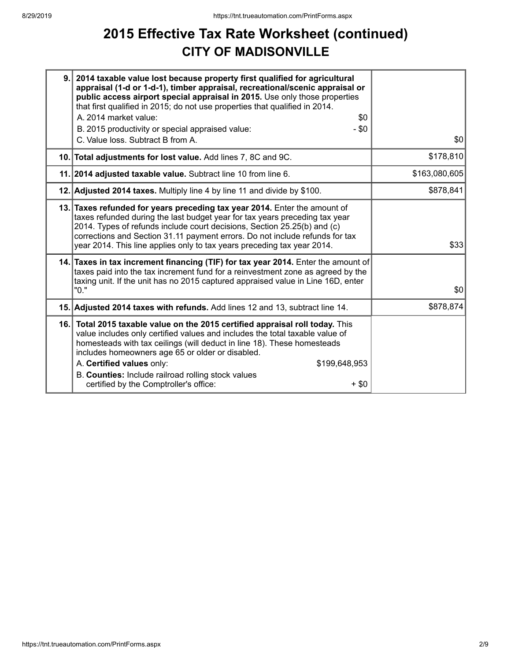## **2015 Effective Tax Rate Worksheet (continued) CITY OF MADISONVILLE**

| 9. | 2014 taxable value lost because property first qualified for agricultural<br>appraisal (1-d or 1-d-1), timber appraisal, recreational/scenic appraisal or<br>public access airport special appraisal in 2015. Use only those properties<br>that first qualified in 2015; do not use properties that qualified in 2014.<br>A. 2014 market value:                                                                                                       |               |
|----|-------------------------------------------------------------------------------------------------------------------------------------------------------------------------------------------------------------------------------------------------------------------------------------------------------------------------------------------------------------------------------------------------------------------------------------------------------|---------------|
|    | \$0<br>$-$ \$0<br>B. 2015 productivity or special appraised value:                                                                                                                                                                                                                                                                                                                                                                                    |               |
|    | C. Value loss. Subtract B from A.                                                                                                                                                                                                                                                                                                                                                                                                                     | \$0           |
|    | 10. Total adjustments for lost value. Add lines 7, 8C and 9C.                                                                                                                                                                                                                                                                                                                                                                                         | \$178,810     |
|    | 11. 2014 adjusted taxable value. Subtract line 10 from line 6.                                                                                                                                                                                                                                                                                                                                                                                        | \$163,080,605 |
|    | 12. Adjusted 2014 taxes. Multiply line 4 by line 11 and divide by \$100.                                                                                                                                                                                                                                                                                                                                                                              | \$878,841     |
|    | 13. Taxes refunded for years preceding tax year 2014. Enter the amount of<br>taxes refunded during the last budget year for tax years preceding tax year<br>2014. Types of refunds include court decisions, Section 25.25(b) and (c)<br>corrections and Section 31.11 payment errors. Do not include refunds for tax<br>year 2014. This line applies only to tax years preceding tax year 2014.                                                       | \$33          |
|    | 14. Taxes in tax increment financing (TIF) for tax year 2014. Enter the amount of<br>taxes paid into the tax increment fund for a reinvestment zone as agreed by the<br>taxing unit. If the unit has no 2015 captured appraised value in Line 16D, enter<br>"0."                                                                                                                                                                                      | \$0           |
|    | 15. Adjusted 2014 taxes with refunds. Add lines 12 and 13, subtract line 14.                                                                                                                                                                                                                                                                                                                                                                          | \$878,874     |
|    | 16. Total 2015 taxable value on the 2015 certified appraisal roll today. This<br>value includes only certified values and includes the total taxable value of<br>homesteads with tax ceilings (will deduct in line 18). These homesteads<br>includes homeowners age 65 or older or disabled.<br>A. Certified values only:<br>\$199,648,953<br>B. Counties: Include railroad rolling stock values<br>certified by the Comptroller's office:<br>$+$ \$0 |               |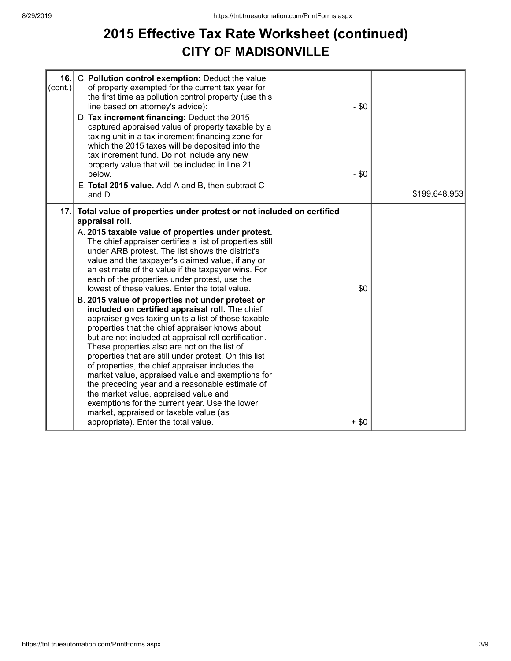### **2015 Effective Tax Rate Worksheet (continued) CITY OF MADISONVILLE**

| 16.<br>(cont.) | C. Pollution control exemption: Deduct the value<br>of property exempted for the current tax year for<br>the first time as pollution control property (use this<br>line based on attorney's advice):<br>D. Tax increment financing: Deduct the 2015<br>captured appraised value of property taxable by a<br>taxing unit in a tax increment financing zone for<br>which the 2015 taxes will be deposited into the<br>tax increment fund. Do not include any new                                                                                                                                                                                                                                                                                                                                                                                                                                                                                                                                                                                                                                                                                                                                         | $-$ \$0       |               |
|----------------|--------------------------------------------------------------------------------------------------------------------------------------------------------------------------------------------------------------------------------------------------------------------------------------------------------------------------------------------------------------------------------------------------------------------------------------------------------------------------------------------------------------------------------------------------------------------------------------------------------------------------------------------------------------------------------------------------------------------------------------------------------------------------------------------------------------------------------------------------------------------------------------------------------------------------------------------------------------------------------------------------------------------------------------------------------------------------------------------------------------------------------------------------------------------------------------------------------|---------------|---------------|
|                | property value that will be included in line 21<br>below.                                                                                                                                                                                                                                                                                                                                                                                                                                                                                                                                                                                                                                                                                                                                                                                                                                                                                                                                                                                                                                                                                                                                              | $-$ \$0       |               |
|                | E. Total 2015 value. Add A and B, then subtract C<br>and D.                                                                                                                                                                                                                                                                                                                                                                                                                                                                                                                                                                                                                                                                                                                                                                                                                                                                                                                                                                                                                                                                                                                                            |               | \$199,648,953 |
| 17.1           | Total value of properties under protest or not included on certified<br>appraisal roll.<br>A. 2015 taxable value of properties under protest.<br>The chief appraiser certifies a list of properties still<br>under ARB protest. The list shows the district's<br>value and the taxpayer's claimed value, if any or<br>an estimate of the value if the taxpayer wins. For<br>each of the properties under protest, use the<br>lowest of these values. Enter the total value.<br>B. 2015 value of properties not under protest or<br>included on certified appraisal roll. The chief<br>appraiser gives taxing units a list of those taxable<br>properties that the chief appraiser knows about<br>but are not included at appraisal roll certification.<br>These properties also are not on the list of<br>properties that are still under protest. On this list<br>of properties, the chief appraiser includes the<br>market value, appraised value and exemptions for<br>the preceding year and a reasonable estimate of<br>the market value, appraised value and<br>exemptions for the current year. Use the lower<br>market, appraised or taxable value (as<br>appropriate). Enter the total value. | \$0<br>$+ $0$ |               |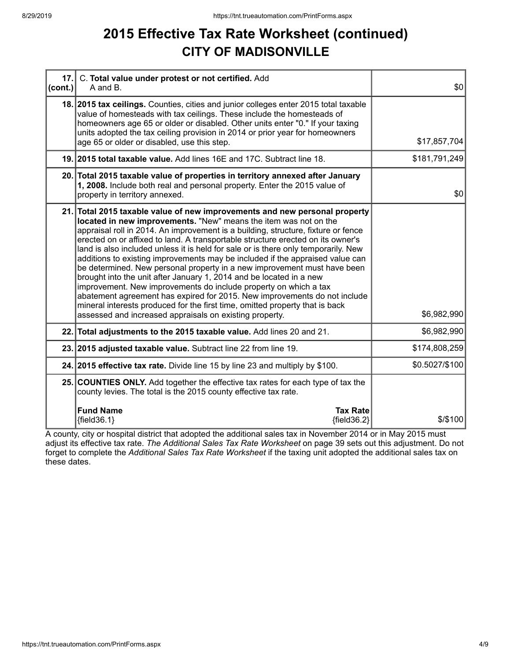### **2015 Effective Tax Rate Worksheet (continued) CITY OF MADISONVILLE**

| 17.<br> cont. | C. Total value under protest or not certified. Add<br>A and B.                                                                                                                                                                                                                                                                                                                                                                                                                                                                                                                                                                                                                                                                                                                                                                                                                                                                               | \$0            |
|---------------|----------------------------------------------------------------------------------------------------------------------------------------------------------------------------------------------------------------------------------------------------------------------------------------------------------------------------------------------------------------------------------------------------------------------------------------------------------------------------------------------------------------------------------------------------------------------------------------------------------------------------------------------------------------------------------------------------------------------------------------------------------------------------------------------------------------------------------------------------------------------------------------------------------------------------------------------|----------------|
|               | 18. 2015 tax ceilings. Counties, cities and junior colleges enter 2015 total taxable<br>value of homesteads with tax ceilings. These include the homesteads of<br>homeowners age 65 or older or disabled. Other units enter "0." If your taxing<br>units adopted the tax ceiling provision in 2014 or prior year for homeowners<br>age 65 or older or disabled, use this step.                                                                                                                                                                                                                                                                                                                                                                                                                                                                                                                                                               | \$17,857,704   |
|               | 19. 2015 total taxable value. Add lines 16E and 17C. Subtract line 18.                                                                                                                                                                                                                                                                                                                                                                                                                                                                                                                                                                                                                                                                                                                                                                                                                                                                       | \$181,791,249  |
|               | 20. Total 2015 taxable value of properties in territory annexed after January<br>1, 2008. Include both real and personal property. Enter the 2015 value of<br>property in territory annexed.                                                                                                                                                                                                                                                                                                                                                                                                                                                                                                                                                                                                                                                                                                                                                 | \$0            |
|               | 21. Total 2015 taxable value of new improvements and new personal property<br>located in new improvements. "New" means the item was not on the<br>appraisal roll in 2014. An improvement is a building, structure, fixture or fence<br>erected on or affixed to land. A transportable structure erected on its owner's<br>land is also included unless it is held for sale or is there only temporarily. New<br>additions to existing improvements may be included if the appraised value can<br>be determined. New personal property in a new improvement must have been<br>brought into the unit after January 1, 2014 and be located in a new<br>improvement. New improvements do include property on which a tax<br>abatement agreement has expired for 2015. New improvements do not include<br>mineral interests produced for the first time, omitted property that is back<br>assessed and increased appraisals on existing property. | \$6,982,990    |
|               | 22. Total adjustments to the 2015 taxable value. Add lines 20 and 21.                                                                                                                                                                                                                                                                                                                                                                                                                                                                                                                                                                                                                                                                                                                                                                                                                                                                        | \$6,982,990    |
|               | 23. 2015 adjusted taxable value. Subtract line 22 from line 19.                                                                                                                                                                                                                                                                                                                                                                                                                                                                                                                                                                                                                                                                                                                                                                                                                                                                              | \$174,808,259  |
|               | 24. 2015 effective tax rate. Divide line 15 by line 23 and multiply by \$100.                                                                                                                                                                                                                                                                                                                                                                                                                                                                                                                                                                                                                                                                                                                                                                                                                                                                | \$0.5027/\$100 |
|               | 25. COUNTIES ONLY. Add together the effective tax rates for each type of tax the<br>county levies. The total is the 2015 county effective tax rate.                                                                                                                                                                                                                                                                                                                                                                                                                                                                                                                                                                                                                                                                                                                                                                                          |                |
|               | <b>Fund Name</b><br><b>Tax Rate</b><br>${fields.1}$<br>${fields2}$                                                                                                                                                                                                                                                                                                                                                                                                                                                                                                                                                                                                                                                                                                                                                                                                                                                                           | $$$ /\$100     |

A county, city or hospital district that adopted the additional sales tax in November 2014 or in May 2015 must adjust its effective tax rate. *The Additional Sales Tax Rate Worksheet* on page 39 sets out this adjustment. Do not forget to complete the *Additional Sales Tax Rate Worksheet* if the taxing unit adopted the additional sales tax on these dates.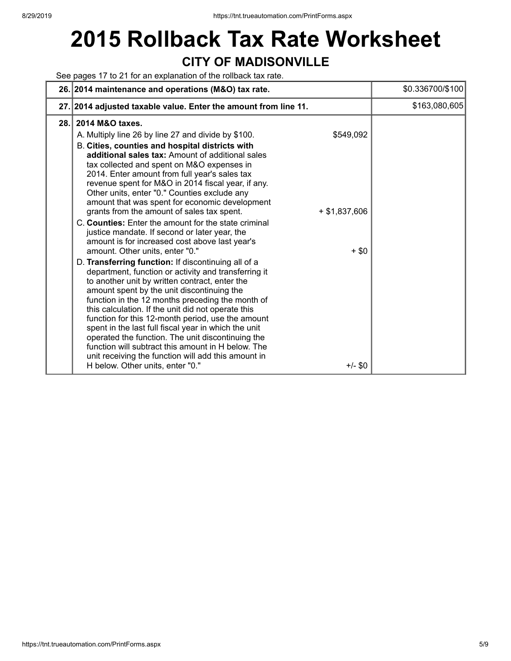# **2015 Rollback Tax Rate Worksheet CITY OF MADISONVILLE**

See pages 17 to 21 for an explanation of the rollback tax rate.

|      | 26. 2014 maintenance and operations (M&O) tax rate.                                                                                                                                                                                                                                                                                                                                                                                                                                                                                                                                                                                                                                                                                                                                                                                                                                                                                                                                                                                                                                                                                                                                                                                                                                                                                                                                  | \$0.336700/\$100 |
|------|--------------------------------------------------------------------------------------------------------------------------------------------------------------------------------------------------------------------------------------------------------------------------------------------------------------------------------------------------------------------------------------------------------------------------------------------------------------------------------------------------------------------------------------------------------------------------------------------------------------------------------------------------------------------------------------------------------------------------------------------------------------------------------------------------------------------------------------------------------------------------------------------------------------------------------------------------------------------------------------------------------------------------------------------------------------------------------------------------------------------------------------------------------------------------------------------------------------------------------------------------------------------------------------------------------------------------------------------------------------------------------------|------------------|
|      | 27. 2014 adjusted taxable value. Enter the amount from line 11.                                                                                                                                                                                                                                                                                                                                                                                                                                                                                                                                                                                                                                                                                                                                                                                                                                                                                                                                                                                                                                                                                                                                                                                                                                                                                                                      | \$163,080,605    |
| 28.1 | 2014 M&O taxes.<br>\$549,092<br>A. Multiply line 26 by line 27 and divide by \$100.<br>B. Cities, counties and hospital districts with<br>additional sales tax: Amount of additional sales<br>tax collected and spent on M&O expenses in<br>2014. Enter amount from full year's sales tax<br>revenue spent for M&O in 2014 fiscal year, if any.<br>Other units, enter "0." Counties exclude any<br>amount that was spent for economic development<br>$+$ \$1,837,606<br>grants from the amount of sales tax spent.<br>C. Counties: Enter the amount for the state criminal<br>justice mandate. If second or later year, the<br>amount is for increased cost above last year's<br>$+$ \$0<br>amount. Other units, enter "0."<br>D. Transferring function: If discontinuing all of a<br>department, function or activity and transferring it<br>to another unit by written contract, enter the<br>amount spent by the unit discontinuing the<br>function in the 12 months preceding the month of<br>this calculation. If the unit did not operate this<br>function for this 12-month period, use the amount<br>spent in the last full fiscal year in which the unit<br>operated the function. The unit discontinuing the<br>function will subtract this amount in H below. The<br>unit receiving the function will add this amount in<br>H below. Other units, enter "0."<br>$+/-$ \$0 |                  |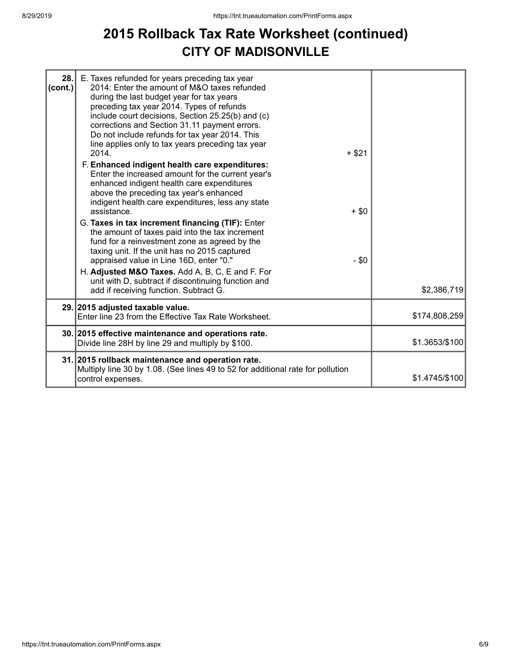### **2015 Rollback Tax Rate Worksheet (continued) CITY OF MADISONVILLE**

| 28.<br>(cont.) | E. Taxes refunded for years preceding tax year<br>2014: Enter the amount of M&O taxes refunded<br>during the last budget year for tax years<br>preceding tax year 2014. Types of refunds<br>include court decisions, Section 25.25(b) and (c)<br>corrections and Section 31.11 payment errors.<br>Do not include refunds for tax year 2014. This<br>line applies only to tax years preceding tax year<br>2014.<br>F. Enhanced indigent health care expenditures:<br>Enter the increased amount for the current year's<br>enhanced indigent health care expenditures<br>above the preceding tax year's enhanced<br>indigent health care expenditures, less any state<br>assistance.<br>G. Taxes in tax increment financing (TIF): Enter<br>the amount of taxes paid into the tax increment<br>fund for a reinvestment zone as agreed by the<br>taxing unit. If the unit has no 2015 captured<br>appraised value in Line 16D, enter "0."<br>H. Adjusted M&O Taxes. Add A, B, C, E and F. For<br>unit with D, subtract if discontinuing function and | $+ $21$<br>$+$ \$0<br>$-$ \$0 |                |
|----------------|---------------------------------------------------------------------------------------------------------------------------------------------------------------------------------------------------------------------------------------------------------------------------------------------------------------------------------------------------------------------------------------------------------------------------------------------------------------------------------------------------------------------------------------------------------------------------------------------------------------------------------------------------------------------------------------------------------------------------------------------------------------------------------------------------------------------------------------------------------------------------------------------------------------------------------------------------------------------------------------------------------------------------------------------------|-------------------------------|----------------|
|                | add if receiving function. Subtract G.                                                                                                                                                                                                                                                                                                                                                                                                                                                                                                                                                                                                                                                                                                                                                                                                                                                                                                                                                                                                            |                               | \$2,386,719    |
|                | 29. 2015 adjusted taxable value.<br>Enter line 23 from the Effective Tax Rate Worksheet.                                                                                                                                                                                                                                                                                                                                                                                                                                                                                                                                                                                                                                                                                                                                                                                                                                                                                                                                                          |                               | \$174,808,259  |
|                | 30. 2015 effective maintenance and operations rate.<br>Divide line 28H by line 29 and multiply by \$100.                                                                                                                                                                                                                                                                                                                                                                                                                                                                                                                                                                                                                                                                                                                                                                                                                                                                                                                                          |                               | \$1.3653/\$100 |
|                | 31. 2015 rollback maintenance and operation rate.<br>Multiply line 30 by 1.08. (See lines 49 to 52 for additional rate for pollution<br>control expenses.                                                                                                                                                                                                                                                                                                                                                                                                                                                                                                                                                                                                                                                                                                                                                                                                                                                                                         |                               | \$1.4745/\$100 |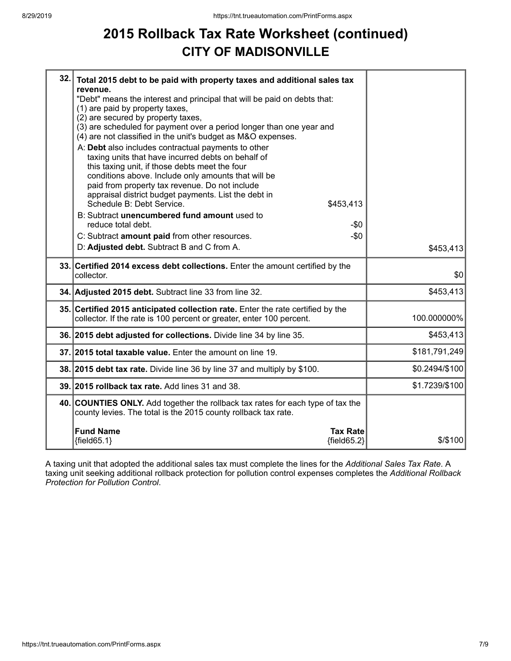## **2015 Rollback Tax Rate Worksheet (continued) CITY OF MADISONVILLE**

| 32. Total 2015 debt to be paid with property taxes and additional sales tax<br>revenue.<br>"Debt" means the interest and principal that will be paid on debts that:<br>(1) are paid by property taxes,<br>(2) are secured by property taxes,<br>(3) are scheduled for payment over a period longer than one year and<br>(4) are not classified in the unit's budget as M&O expenses.<br>A: Debt also includes contractual payments to other<br>taxing units that have incurred debts on behalf of<br>this taxing unit, if those debts meet the four<br>conditions above. Include only amounts that will be<br>paid from property tax revenue. Do not include<br>appraisal district budget payments. List the debt in<br>Schedule B: Debt Service.<br>\$453,413<br>B: Subtract unencumbered fund amount used to<br>reduce total debt.<br>$-\$0$<br>$-$0$<br>C: Subtract amount paid from other resources.<br>D: Adjusted debt. Subtract B and C from A. |                |
|--------------------------------------------------------------------------------------------------------------------------------------------------------------------------------------------------------------------------------------------------------------------------------------------------------------------------------------------------------------------------------------------------------------------------------------------------------------------------------------------------------------------------------------------------------------------------------------------------------------------------------------------------------------------------------------------------------------------------------------------------------------------------------------------------------------------------------------------------------------------------------------------------------------------------------------------------------|----------------|
|                                                                                                                                                                                                                                                                                                                                                                                                                                                                                                                                                                                                                                                                                                                                                                                                                                                                                                                                                        | \$453,413      |
| 33. Certified 2014 excess debt collections. Enter the amount certified by the<br>collector.                                                                                                                                                                                                                                                                                                                                                                                                                                                                                                                                                                                                                                                                                                                                                                                                                                                            | \$0            |
| 34. Adjusted 2015 debt. Subtract line 33 from line 32.                                                                                                                                                                                                                                                                                                                                                                                                                                                                                                                                                                                                                                                                                                                                                                                                                                                                                                 | \$453,413      |
| 35. Certified 2015 anticipated collection rate. Enter the rate certified by the<br>collector. If the rate is 100 percent or greater, enter 100 percent.                                                                                                                                                                                                                                                                                                                                                                                                                                                                                                                                                                                                                                                                                                                                                                                                | 100.000000%    |
| 36. 2015 debt adjusted for collections. Divide line 34 by line 35.                                                                                                                                                                                                                                                                                                                                                                                                                                                                                                                                                                                                                                                                                                                                                                                                                                                                                     | \$453,413      |
| 37. 2015 total taxable value. Enter the amount on line 19.                                                                                                                                                                                                                                                                                                                                                                                                                                                                                                                                                                                                                                                                                                                                                                                                                                                                                             | \$181,791,249  |
| 38. 2015 debt tax rate. Divide line 36 by line 37 and multiply by \$100.                                                                                                                                                                                                                                                                                                                                                                                                                                                                                                                                                                                                                                                                                                                                                                                                                                                                               | \$0.2494/\$100 |
| 39. 2015 rollback tax rate. Add lines 31 and 38.                                                                                                                                                                                                                                                                                                                                                                                                                                                                                                                                                                                                                                                                                                                                                                                                                                                                                                       | \$1.7239/\$100 |
| 40. COUNTIES ONLY. Add together the rollback tax rates for each type of tax the<br>county levies. The total is the 2015 county rollback tax rate.                                                                                                                                                                                                                                                                                                                                                                                                                                                                                                                                                                                                                                                                                                                                                                                                      |                |
| <b>Fund Name</b><br><b>Tax Rate</b><br>${fields5.1}$<br>${fields2}$                                                                                                                                                                                                                                                                                                                                                                                                                                                                                                                                                                                                                                                                                                                                                                                                                                                                                    | $$$ /\$100     |

A taxing unit that adopted the additional sales tax must complete the lines for the *Additional Sales Tax Rate*. A taxing unit seeking additional rollback protection for pollution control expenses completes the *Additional Rollback Protection for Pollution Control*.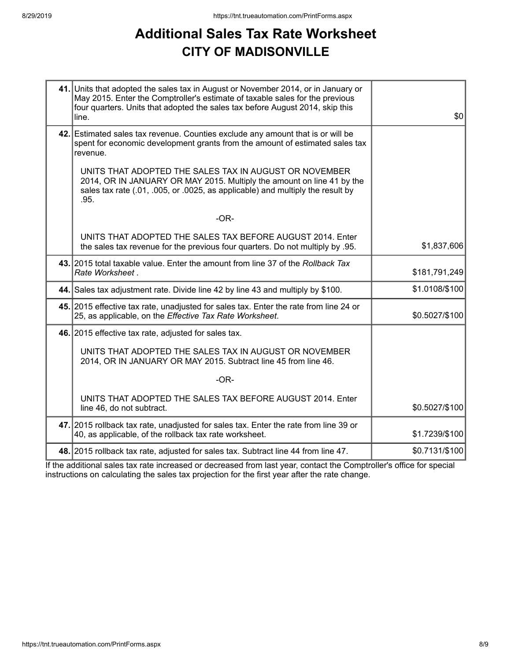### **Additional Sales Tax Rate Worksheet CITY OF MADISONVILLE**

| 41. Units that adopted the sales tax in August or November 2014, or in January or<br>May 2015. Enter the Comptroller's estimate of taxable sales for the previous<br>four quarters. Units that adopted the sales tax before August 2014, skip this<br>line. | \$0            |
|-------------------------------------------------------------------------------------------------------------------------------------------------------------------------------------------------------------------------------------------------------------|----------------|
| 42. Estimated sales tax revenue. Counties exclude any amount that is or will be<br>spent for economic development grants from the amount of estimated sales tax<br>revenue.                                                                                 |                |
| UNITS THAT ADOPTED THE SALES TAX IN AUGUST OR NOVEMBER<br>2014, OR IN JANUARY OR MAY 2015. Multiply the amount on line 41 by the<br>sales tax rate (.01, .005, or .0025, as applicable) and multiply the result by<br>.95.                                  |                |
| $-OR-$                                                                                                                                                                                                                                                      |                |
| UNITS THAT ADOPTED THE SALES TAX BEFORE AUGUST 2014. Enter<br>the sales tax revenue for the previous four quarters. Do not multiply by .95.                                                                                                                 | \$1,837,606    |
| 43. 2015 total taxable value. Enter the amount from line 37 of the Rollback Tax<br>Rate Worksheet.                                                                                                                                                          | \$181,791,249  |
| 44. Sales tax adjustment rate. Divide line 42 by line 43 and multiply by \$100.                                                                                                                                                                             | \$1.0108/\$100 |
| 45. 2015 effective tax rate, unadjusted for sales tax. Enter the rate from line 24 or<br>25, as applicable, on the Effective Tax Rate Worksheet.                                                                                                            | \$0.5027/\$100 |
| 46. 2015 effective tax rate, adjusted for sales tax.                                                                                                                                                                                                        |                |
| UNITS THAT ADOPTED THE SALES TAX IN AUGUST OR NOVEMBER<br>2014, OR IN JANUARY OR MAY 2015. Subtract line 45 from line 46.                                                                                                                                   |                |
| $-OR-$                                                                                                                                                                                                                                                      |                |
| UNITS THAT ADOPTED THE SALES TAX BEFORE AUGUST 2014. Enter<br>line 46, do not subtract.                                                                                                                                                                     | \$0.5027/\$100 |
| 47. 2015 rollback tax rate, unadjusted for sales tax. Enter the rate from line 39 or<br>40, as applicable, of the rollback tax rate worksheet.                                                                                                              | \$1.7239/\$100 |
| 48. 2015 rollback tax rate, adjusted for sales tax. Subtract line 44 from line 47.                                                                                                                                                                          | \$0.7131/\$100 |

If the additional sales tax rate increased or decreased from last year, contact the Comptroller's office for special instructions on calculating the sales tax projection for the first year after the rate change.